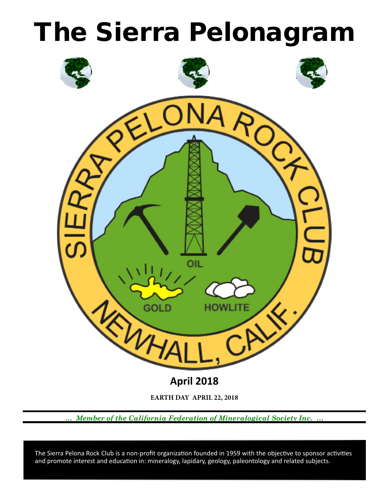



*… Member of the California Federation of Mineralogical Society Inc. …*

 and promote interest and education in: mineralogy, lapidary, geology, paleontology and related subjects. The Sierra Pelona Rock Club is a non-profit organization founded in 1959 with the objective to sponsor activities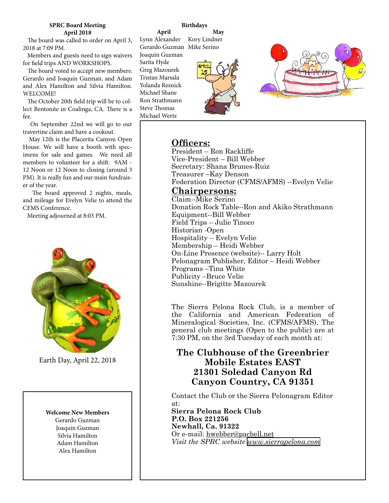### **SPRC Board Meeting April 2018**

 The board was called to order on April 3, 2018 at 7:09 PM.

 Members and guests need to sign waivers for field trips AND WORKSHOPS.

 The board voted to accept new members: Gerardo and Joaquin Guzman, and Adam and Alex Hamilton and Silvia Hamilton. WELCOME!

 The October 20th field trip will be to collect Bentonite in Coalinga, CA. There is a fee.

 On September 22nd we will go to our travertine claim and have a cookout.

 May 12th is the Placerita Canyon Open House. We will have a booth with specimens for sale and games. We need all members to volunteer for a shift. 9AM - 12 Noon or 12 Noon to closing (around 3 PM). It is really fun and our main fundraiser of the year.

 The board approved 2 nights, meals, and mileage for Evelyn Velie to attend the CFMS Conference.

Meeting adjourned at 8:03 PM.



Earth Day, April 22, 2018

# **Welcome New Members**

Gerardo Guzman Joaquin Guzman Silvia Hamilton Adam Hamilton Alex Hamilton

# **Birthdays**

**April** Lynn Alexander Kory Lindner Gerardo Guzman Mike Serino **May**

Joaquin Guzman Sarita Hyde Greg Mazourek Tristan Marsala Yolanda Resnick Michael Shane Ron Strathmann Steve Thomas Michael Wertz





# **Officers:**

President – Ron Rackliffe Vice‑President – Bill Webber Secretary: Shana Brunes-Ruiz Treasurer –Kay Denson Federation Director (CFMS/AFMS) --Evelyn Velie

# **Chairpersons:**

Claim--Mike Serino Donation Rock Table--Ron and Akiko Strathmann Equipment--Bill Webber Field Trips – Julie Tinoco Historian ‑Open Hospitality – Evelyn Velie Membership – Heidi Webber On-Line Presence (website)-- Larry Holt Pelonagram Publisher, Editor – Heidi Webber Programs –Tina White Publicity –Bruce Velie Sunshine--Brigitte Mazourek

The Sierra Pelona Rock Club, is a member of the California and American Federation of Mineralogical Societies, Inc. (CFMS/AFMS). The general club meetings (Open to the public) are at 7:30 PM, on the 3rd Tuesday of each month at:

# **The Clubhouse of the Greenbrier Mobile Estates EAST 21301 Soledad Canyon Rd Canyon Country, CA 91351**

Contact the Club or the Sierra Pelonagram Editor at:

**Sierra Pelona Rock Club P.O. Box 221256 Newhall, Ca. 91322** Or e‑mail: hwebber@pacbell.net *Visit the SPRC website [www.sierrapelona.com](http://www.sierrapelona.com/)*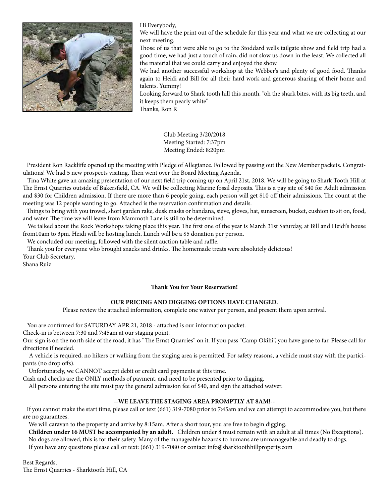

Hi Everybody,

We will have the print out of the schedule for this year and what we are collecting at our next meeting.

Those of us that were able to go to the Stoddard wells tailgate show and field trip had a good time, we had just a touch of rain, did not slow us down in the least. We collected all the material that we could carry and enjoyed the show.

We had another successful workshop at the Webber's and plenty of good food. Thanks again to Heidi and Bill for all their hard work and generous sharing of their home and talents. Yummy!

Looking forward to Shark tooth hill this month. "oh the shark bites, with its big teeth, and it keeps them pearly white"

Thanks, Ron R

Club Meeting 3/20/2018 Meeting Started: 7:37pm Meeting Ended: 8:20pm

 President Ron Rackliffe opened up the meeting with Pledge of Allegiance. Followed by passing out the New Member packets. Congratulations! We had 5 new prospects visiting. Then went over the Board Meeting Agenda.

 Tina White gave an amazing presentation of our next field trip coming up on April 21st, 2018. We will be going to Shark Tooth Hill at The Ernst Quarries outside of Bakersfield, CA. We will be collecting Marine fossil deposits. This is a pay site of \$40 for Adult admission and \$30 for Children admission. If there are more than 6 people going, each person will get \$10 off their admissions. The count at the meeting was 12 people wanting to go. Attached is the reservation confirmation and details.

 Things to bring with you trowel, short garden rake, dusk masks or bandana, sieve, gloves, hat, sunscreen, bucket, cushion to sit on, food, and water. The time we will leave from Mammoth Lane is still to be determined.

 We talked about the Rock Workshops taking place this year. The first one of the year is March 31st Saturday, at Bill and Heidi's house from10am to 3pm. Heidi will be hosting lunch. Lunch will be a \$5 donation per person.

We concluded our meeting, followed with the silent auction table and raffle.

 Thank you for everyone who brought snacks and drinks. The homemade treats were absolutely delicious! Your Club Secretary,

Shana Ruiz

### **Thank You for Your Reservation!**

### **OUR PRICING AND DIGGING OPTIONS HAVE CHANGED.**

Please review the attached information, complete one waiver per person, and present them upon arrival.

You are confirmed for SATURDAY APR 21, 2018 - attached is our information packet.

Check-in is between 7:30 and 7:45am at our staging point.

Our sign is on the north side of the road, it has "The Ernst Quarries" on it. If you pass "Camp Okihi", you have gone to far. Please call for directions if needed.

 A vehicle is required, no hikers or walking from the staging area is permitted. For safety reasons, a vehicle must stay with the participants (no drop offs).

Unfortunately, we CANNOT accept debit or credit card payments at this time.

Cash and checks are the ONLY methods of payment, and need to be presented prior to digging.

All persons entering the site must pay the general admission fee of \$40, and sign the attached waiver.

### **--WE LEAVE THE STAGING AREA PROMPTLY AT 8AM!--**

 If you cannot make the start time, please call or text (661) 319-7080 prior to 7:45am and we can attempt to accommodate you, but there are no guarantees.

We will caravan to the property and arrive by 8:15am. After a short tour, you are free to begin digging.

 **Children under 16 MUST be accompanied by an adult.** Children under 8 must remain with an adult at all times (No Exceptions). No dogs are allowed, this is for their safety. Many of the manageable hazards to humans are unmanageable and deadly to dogs.

If you have any questions please call or text: (661) 319-7080 or contact info@sharktoothhillproperty.com

Best Regards, The Ernst Quarries - Sharktooth Hill, CA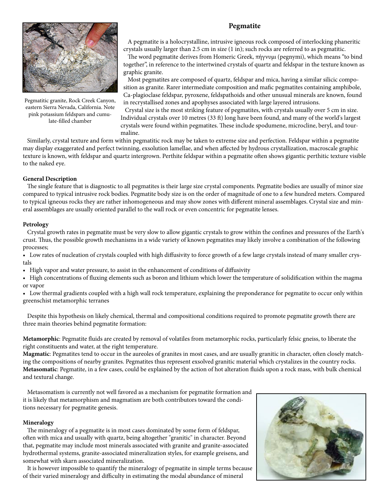# **Pegmatite**



Pegmatitic granite, Rock Creek Canyon, eastern Sierra Nevada, California. Note pink potassium feldspars and cumulate-filled chamber

 A pegmatite is a holocrystalline, intrusive igneous rock composed of interlocking phaneritic crystals usually larger than 2.5 cm in size (1 in); such rocks are referred to as pegmatitic.

 The word pegmatite derives from Homeric Greek, πήγνυμι (pegnymi), which means "to bind together", in reference to the intertwined crystals of quartz and feldspar in the texture known as graphic granite.

 Most pegmatites are composed of quartz, feldspar and mica, having a similar silicic composition as granite. Rarer intermediate composition and mafic pegmatites containing amphibole, Ca-plagioclase feldspar, pyroxene, feldspathoids and other unusual minerals are known, found in recrystallised zones and apophyses associated with large layered intrusions.

 Crystal size is the most striking feature of pegmatites, with crystals usually over 5 cm in size. Individual crystals over 10 metres (33 ft) long have been found, and many of the world's largest crystals were found within pegmatites. These include spodumene, microcline, beryl, and tourmaline.

 Similarly, crystal texture and form within pegmatitic rock may be taken to extreme size and perfection. Feldspar within a pegmatite may display exaggerated and perfect twinning, exsolution lamellae, and when affected by hydrous crystallization, macroscale graphic texture is known, with feldspar and quartz intergrown. Perthite feldspar within a pegmatite often shows gigantic perthitic texture visible to the naked eye.

## **General Description**

 The single feature that is diagnostic to all pegmatites is their large size crystal components. Pegmatite bodies are usually of minor size compared to typical intrusive rock bodies. Pegmatite body size is on the order of magnitude of one to a few hundred meters. Compared to typical igneous rocks they are rather inhomogeneous and may show zones with different mineral assemblages. Crystal size and mineral assemblages are usually oriented parallel to the wall rock or even concentric for pegmatite lenses.

## **Petrology**

 Crystal growth rates in pegmatite must be very slow to allow gigantic crystals to grow within the confines and pressures of the Earth's crust. Thus, the possible growth mechanisms in a wide variety of known pegmatites may likely involve a combination of the following processes;

• Low rates of nucleation of crystals coupled with high diffusivity to force growth of a few large crystals instead of many smaller crystals

• High vapor and water pressure, to assist in the enhancement of conditions of diffusivity

• High concentrations of fluxing elements such as boron and lithium which lower the temperature of solidification within the magma or vapor

• Low thermal gradients coupled with a high wall rock temperature, explaining the preponderance for pegmatite to occur only within greenschist metamorphic terranes

 Despite this hypothesis on likely chemical, thermal and compositional conditions required to promote pegmatite growth there are three main theories behind pegmatite formation:

**Metamorphic**: Pegmatite fluids are created by removal of volatiles from metamorphic rocks, particularly felsic gneiss, to liberate the right constituents and water, at the right temperature.

**Magmatic**: Pegmatites tend to occur in the aureoles of granites in most cases, and are usually granitic in character, often closely matching the compositions of nearby granites. Pegmatites thus represent exsolved granitic material which crystalizes in the country rocks. **Metasomatic**: Pegmatite, in a few cases, could be explained by the action of hot alteration fluids upon a rock mass, with bulk chemical and textural change.

 Metasomatism is currently not well favored as a mechanism for pegmatite formation and it is likely that metamorphism and magmatism are both contributors toward the conditions necessary for pegmatite genesis.

# **Mineralogy**

 The mineralogy of a pegmatite is in most cases dominated by some form of feldspar, often with mica and usually with quartz, being altogether "granitic" in character. Beyond that, pegmatite may include most minerals associated with granite and granite-associated hydrothermal systems, granite-associated mineralization styles, for example greisens, and somewhat with skarn associated mineralization.

 It is however impossible to quantify the mineralogy of pegmatite in simple terms because of their varied mineralogy and difficulty in estimating the modal abundance of mineral